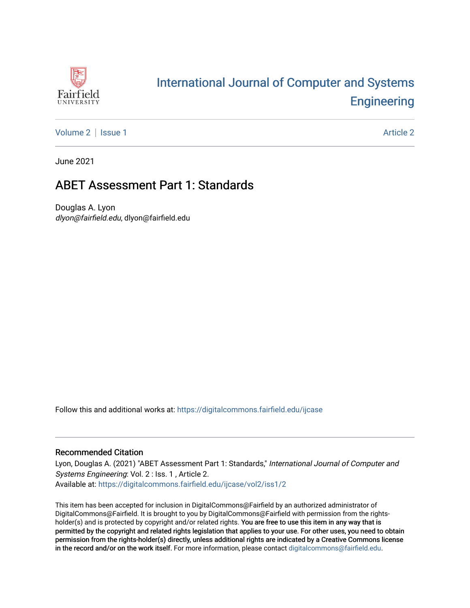

# [International Journal of Computer and Systems](https://digitalcommons.fairfield.edu/ijcase)  **Engineering**

[Volume 2](https://digitalcommons.fairfield.edu/ijcase/vol2) | [Issue 1](https://digitalcommons.fairfield.edu/ijcase/vol2/iss1) [Article 2](https://digitalcommons.fairfield.edu/ijcase/vol2/iss1/2) | Article 2 Article 2 | Article 2 | Article 2 | Article 2 | Article 2 | Article 2

June 2021

# ABET Assessment Part 1: Standards

Douglas A. Lyon dlyon@fairfield.edu, dlyon@fairfield.edu

Follow this and additional works at: [https://digitalcommons.fairfield.edu/ijcase](https://digitalcommons.fairfield.edu/ijcase?utm_source=digitalcommons.fairfield.edu%2Fijcase%2Fvol2%2Fiss1%2F2&utm_medium=PDF&utm_campaign=PDFCoverPages) 

#### Recommended Citation

Lyon, Douglas A. (2021) "ABET Assessment Part 1: Standards," International Journal of Computer and Systems Engineering: Vol. 2 : Iss. 1 , Article 2. Available at: [https://digitalcommons.fairfield.edu/ijcase/vol2/iss1/2](https://digitalcommons.fairfield.edu/ijcase/vol2/iss1/2?utm_source=digitalcommons.fairfield.edu%2Fijcase%2Fvol2%2Fiss1%2F2&utm_medium=PDF&utm_campaign=PDFCoverPages) 

This item has been accepted for inclusion in DigitalCommons@Fairfield by an authorized administrator of DigitalCommons@Fairfield. It is brought to you by DigitalCommons@Fairfield with permission from the rightsholder(s) and is protected by copyright and/or related rights. You are free to use this item in any way that is permitted by the copyright and related rights legislation that applies to your use. For other uses, you need to obtain permission from the rights-holder(s) directly, unless additional rights are indicated by a Creative Commons license in the record and/or on the work itself. For more information, please contact [digitalcommons@fairfield.edu.](mailto:digitalcommons@fairfield.edu)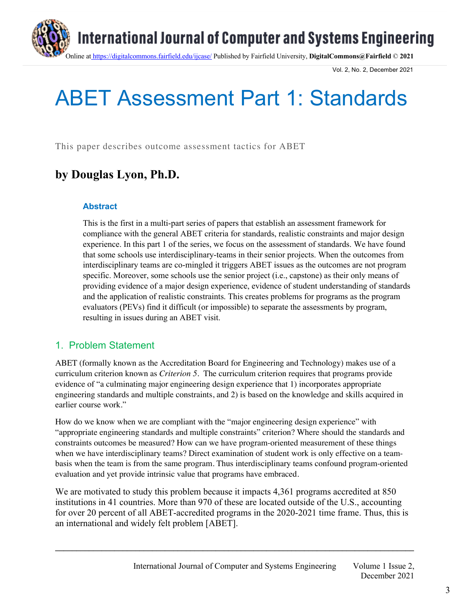

Vol. 2, No. 2, December 2021

# ABET Assessment Part 1: Standards

This paper describes outcome assessment tactics for ABET

# **by Douglas Lyon, Ph.D.**

#### **Abstract**

This is the first in a multi-part series of papers that establish an assessment framework for compliance with the general ABET criteria for standards, realistic constraints and major design experience. In this part 1 of the series, we focus on the assessment of standards. We have found that some schools use interdisciplinary-teams in their senior projects. When the outcomes from interdisciplinary teams are co-mingled it triggers ABET issues as the outcomes are not program specific. Moreover, some schools use the senior project (i.e., capstone) as their only means of providing evidence of a major design experience, evidence of student understanding of standards and the application of realistic constraints. This creates problems for programs as the program evaluators (PEVs) find it difficult (or impossible) to separate the assessments by program, resulting in issues during an ABET visit.

# 1. Problem Statement

ABET (formally known as the Accreditation Board for Engineering and Technology) makes use of a curriculum criterion known as *Criterion 5.* The curriculum criterion requires that programs provide evidence of "a culminating major engineering design experience that 1) incorporates appropriate engineering standards and multiple constraints, and 2) is based on the knowledge and skills acquired in earlier course work."

How do we know when we are compliant with the "major engineering design experience" with "appropriate engineering standards and multiple constraints" criterion? Where should the standards and constraints outcomes be measured? How can we have program-oriented measurement of these things when we have interdisciplinary teams? Direct examination of student work is only effective on a teambasis when the team is from the same program. Thus interdisciplinary teams confound program-oriented evaluation and yet provide intrinsic value that programs have embraced.

We are motivated to study this problem because it impacts 4,361 programs accredited at 850 institutions in 41 countries. More than 970 of these are located outside of the U.S., accounting for over 20 percent of all ABET-accredited programs in the 2020-2021 time frame. Thus, this is an international and widely felt problem [ABET].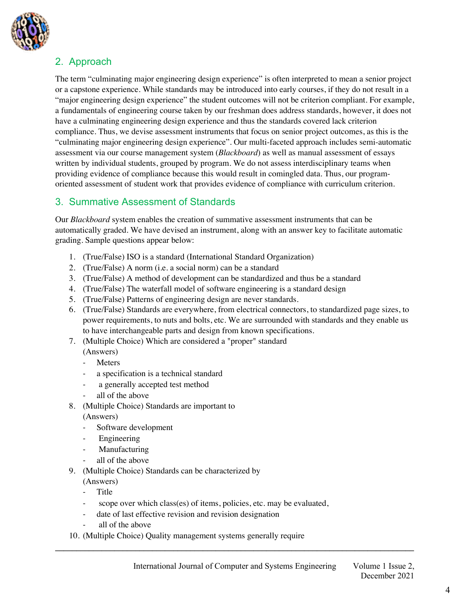

# 2. Approach

The term "culminating major engineering design experience" is often interpreted to mean a senior project or a capstone experience. While standards may be introduced into early courses, if they do not result in a "major engineering design experience" the student outcomes will not be criterion compliant. For example, a fundamentals of engineering course taken by our freshman does address standards, however, it does not have a culminating engineering design experience and thus the standards covered lack criterion compliance. Thus, we devise assessment instruments that focus on senior project outcomes, as this is the "culminating major engineering design experience". Our multi-faceted approach includes semi-automatic assessment via our course management system (*Blackboard*) as well as manual assessment of essays written by individual students, grouped by program. We do not assess interdisciplinary teams when providing evidence of compliance because this would result in comingled data. Thus, our programoriented assessment of student work that provides evidence of compliance with curriculum criterion.

# 3. Summative Assessment of Standards

Our *Blackboard* system enables the creation of summative assessment instruments that can be automatically graded. We have devised an instrument, along with an answer key to facilitate automatic grading. Sample questions appear below:

- 1. (True/False) ISO is a standard (International Standard Organization)
- 2. (True/False) A norm (i.e. a social norm) can be a standard
- 3. (True/False) A method of development can be standardized and thus be a standard
- 4. (True/False) The waterfall model of software engineering is a standard design
- 5. (True/False) Patterns of engineering design are never standards.
- 6. (True/False) Standards are everywhere, from electrical connectors, to standardized page sizes, to power requirements, to nuts and bolts, etc. We are surrounded with standards and they enable us to have interchangeable parts and design from known specifications.
- 7. (Multiple Choice) Which are considered a "proper" standard
- (Answers)
	- Meters
	- a specification is a technical standard
	- a generally accepted test method
	- all of the above
- 8. (Multiple Choice) Standards are important to

#### (Answers)

- Software development
- Engineering
- Manufacturing
- all of the above
- 9. (Multiple Choice) Standards can be characterized by
	- (Answers)
	- Title
	- scope over which class(es) of items, policies, etc. may be evaluated,
	- date of last effective revision and revision designation
	- all of the above
- 10. (Multiple Choice) Quality management systems generally require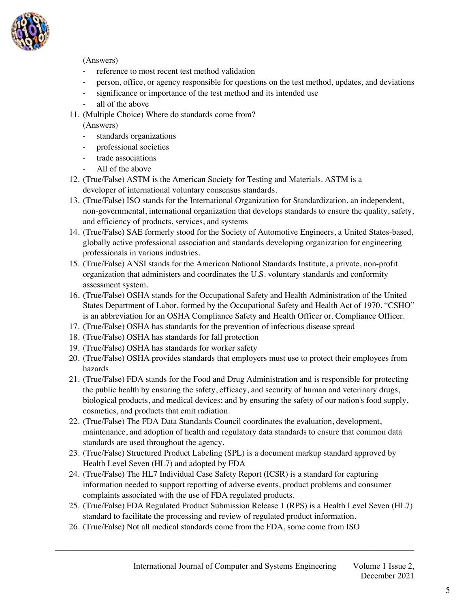

#### (Answers)

- reference to most recent test method validation
- person, office, or agency responsible for questions on the test method, updates, and deviations
- significance or importance of the test method and its intended use
- all of the above
- 11. (Multiple Choice) Where do standards come from?
	- (Answers)
	- standards organizations
	- professional societies
	- trade associations
	- All of the above
- 12. (True/False) ASTM is the American Society for Testing and Materials. ASTM is a developer of international voluntary consensus standards.
- 13. (True/False) ISO stands for the International Organization for Standardization, an independent, non-governmental, international organization that develops standards to ensure the quality, safety, and efficiency of products, services, and systems
- 14. (True/False) SAE formerly stood for the Society of Automotive Engineers, a United States-based, globally active professional association and standards developing organization for engineering professionals in various industries.
- 15. (True/False) ANSI stands for the American National Standards Institute, a private, non-profit organization that administers and coordinates the U.S. voluntary standards and conformity assessment system.
- 16. (True/False) OSHA stands for the Occupational Safety and Health Administration of the United States Department of Labor, formed by the Occupational Safety and Health Act of 1970. "CSHO" is an abbreviation for an OSHA Compliance Safety and Health Officer or. Compliance Officer.
- 17. (True/False) OSHA has standards for the prevention of infectious disease spread
- 18. (True/False) OSHA has standards for fall protection
- 19. (True/False) OSHA has standards for worker safety
- 20. (True/False) OSHA provides standards that employers must use to protect their employees from hazards
- 21. (True/False) FDA stands for the Food and Drug Administration and is responsible for protecting the public health by ensuring the safety, efficacy, and security of human and veterinary drugs, biological products, and medical devices; and by ensuring the safety of our nation's food supply, cosmetics, and products that emit radiation.
- 22. (True/False) The FDA Data Standards Council coordinates the evaluation, development, maintenance, and adoption of health and regulatory data standards to ensure that common data standards are used throughout the agency.
- 23. (True/False) Structured Product Labeling (SPL) is a document markup standard approved by Health Level Seven (HL7) and adopted by FDA
- 24. (True/False) The HL7 Individual Case Safety Report (ICSR) is a standard for capturing information needed to support reporting of adverse events, product problems and consumer complaints associated with the use of FDA regulated products.
- 25. (True/False) FDA Regulated Product Submission Release 1 (RPS) is a Health Level Seven (HL7) standard to facilitate the processing and review of regulated product information.
- 26. (True/False) Not all medical standards come from the FDA, some come from ISO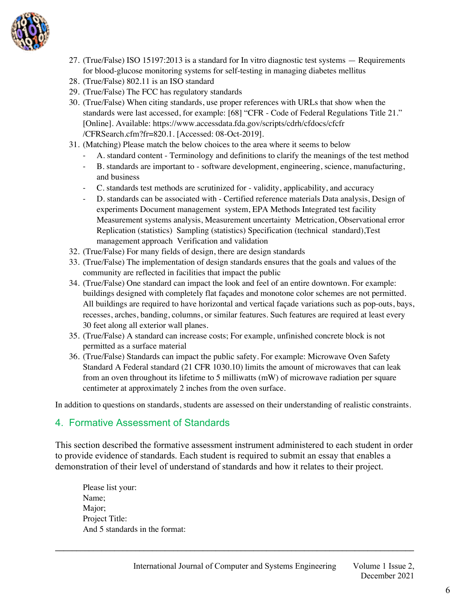

- 27. (True/False) ISO 15197:2013 is a standard for In vitro diagnostic test systems Requirements for blood-glucose monitoring systems for self-testing in managing diabetes mellitus
- 28. (True/False) 802.11 is an ISO standard
- 29. (True/False) The FCC has regulatory standards
- 30. (True/False) When citing standards, use proper references with URLs that show when the standards were last accessed, for example: [68] "CFR - Code of Federal Regulations Title 21." [Online]. Available: https://www.accessdata.fda.gov/scripts/cdrh/cfdocs/cfcfr /CFRSearch.cfm?fr=820.1. [Accessed: 08-Oct-2019].
- 31. (Matching) Please match the below choices to the area where it seems to below
	- A. standard content Terminology and definitions to clarify the meanings of the test method
	- B. standards are important to software development, engineering, science, manufacturing, and business
	- C. standards test methods are scrutinized for validity, applicability, and accuracy
	- D. standards can be associated with Certified reference materials Data analysis, Design of experiments Document management system, EPA Methods Integrated test facility Measurement systems analysis, Measurement uncertainty Metrication, Observational error Replication (statistics) Sampling (statistics) Specification (technical standard),Test management approach Verification and validation
- 32. (True/False) For many fields of design, there are design standards
- 33. (True/False) The implementation of design standards ensures that the goals and values of the community are reflected in facilities that impact the public
- 34. (True/False) One standard can impact the look and feel of an entire downtown. For example: buildings designed with completely flat façades and monotone color schemes are not permitted. All buildings are required to have horizontal and vertical façade variations such as pop-outs, bays, recesses, arches, banding, columns, or similar features. Such features are required at least every 30 feet along all exterior wall planes.
- 35. (True/False) A standard can increase costs; For example, unfinished concrete block is not permitted as a surface material
- 36. (True/False) Standards can impact the public safety. For example: Microwave Oven Safety Standard A Federal standard (21 CFR 1030.10) limits the amount of microwaves that can leak from an oven throughout its lifetime to 5 milliwatts (mW) of microwave radiation per square centimeter at approximately 2 inches from the oven surface.

In addition to questions on standards, students are assessed on their understanding of realistic constraints.

# 4. Formative Assessment of Standards

This section described the formative assessment instrument administered to each student in order to provide evidence of standards. Each student is required to submit an essay that enables a demonstration of their level of understand of standards and how it relates to their project.

Please list your: Name; Major; Project Title: And 5 standards in the format: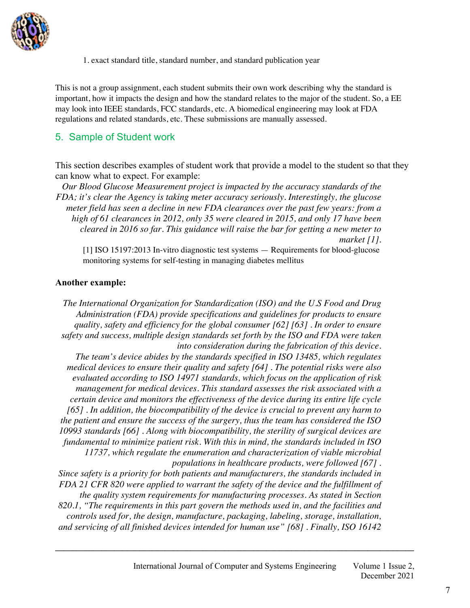

1. exact standard title, standard number, and standard publication year

This is not a group assignment, each student submits their own work describing why the standard is important, how it impacts the design and how the standard relates to the major of the student. So, a EE may look into IEEE standards, FCC standards, etc. A biomedical engineering may look at FDA regulations and related standards, etc. These submissions are manually assessed.

## 5. Sample of Student work

This section describes examples of student work that provide a model to the student so that they can know what to expect. For example:

*Our Blood Glucose Measurement project is impacted by the accuracy standards of the FDA; it's clear the Agency is taking meter accuracy seriously. Interestingly, the glucose meter field has seen a decline in new FDA clearances over the past few years: from a high of 61 clearances in 2012, only 35 were cleared in 2015, and only 17 have been cleared in 2016 so far. This guidance will raise the bar for getting a new meter to market [1].* 

[1] ISO 15197:2013 In-vitro diagnostic test systems — Requirements for blood-glucose monitoring systems for self-testing in managing diabetes mellitus

#### **Another example:**

*The International Organization for Standardization (ISO) and the U.S Food and Drug Administration (FDA) provide specifications and guidelines for products to ensure quality, safety and efficiency for the global consumer [62] [63] . In order to ensure safety and success, multiple design standards set forth by the ISO and FDA were taken into consideration during the fabrication of this device. The team's device abides by the standards specified in ISO 13485, which regulates medical devices to ensure their quality and safety [64] . The potential risks were also evaluated according to ISO 14971 standards, which focus on the application of risk management for medical devices. This standard assesses the risk associated with a certain device and monitors the effectiveness of the device during its entire life cycle [65] . In addition, the biocompatibility of the device is crucial to prevent any harm to the patient and ensure the success of the surgery, thus the team has considered the ISO 10993 standards [66] . Along with biocompatibility, the sterility of surgical devices are fundamental to minimize patient risk. With this in mind, the standards included in ISO 11737, which regulate the enumeration and characterization of viable microbial populations in healthcare products, were followed [67] . Since safety is a priority for both patients and manufacturers, the standards included in FDA 21 CFR 820 were applied to warrant the safety of the device and the fulfillment of the quality system requirements for manufacturing processes. As stated in Section 820.1, "The requirements in this part govern the methods used in, and the facilities and controls used for, the design, manufacture, packaging, labeling, storage, installation, and servicing of all finished devices intended for human use" [68] . Finally, ISO 16142*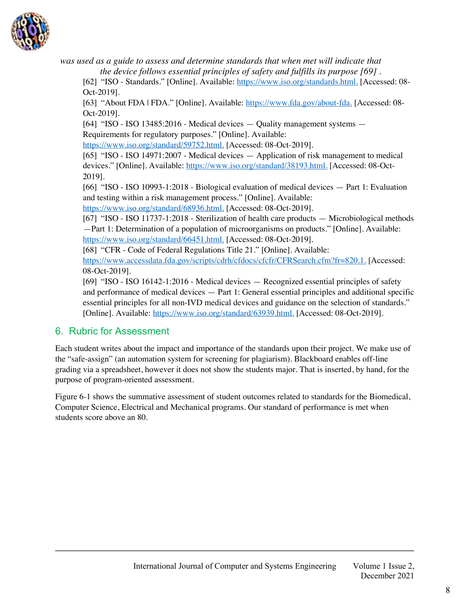

was used as a guide to assess and determine standards that when met will indicate that *the device follows essential principles of safety and fulfills its purpose [69] .*

[62] "ISO - Standards." [Online]. Available: https://www.iso.org/standards.html. [Accessed: 08- Oct-2019].

[63] "About FDA | FDA." [Online]. Available: https://www.fda.gov/about-fda. [Accessed: 08- Oct-2019].

[64] "ISO - ISO 13485:2016 - Medical devices — Quality management systems — Requirements for regulatory purposes." [Online]. Available:

https://www.iso.org/standard/59752.html. [Accessed: 08-Oct-2019].

[65] "ISO - ISO 14971:2007 - Medical devices — Application of risk management to medical devices." [Online]. Available: https://www.iso.org/standard/38193.html. [Accessed: 08-Oct-2019].

[66] "ISO - ISO 10993-1:2018 - Biological evaluation of medical devices — Part 1: Evaluation and testing within a risk management process." [Online]. Available:

https://www.iso.org/standard/68936.html. [Accessed: 08-Oct-2019].

[67] "ISO - ISO 11737-1:2018 - Sterilization of health care products — Microbiological methods —Part 1: Determination of a population of microorganisms on products." [Online]. Available: https://www.iso.org/standard/66451.html. [Accessed: 08-Oct-2019].

[68] "CFR - Code of Federal Regulations Title 21." [Online]. Available:

https://www.accessdata.fda.gov/scripts/cdrh/cfdocs/cfcfr/CFRSearch.cfm?fr=820.1. [Accessed: 08-Oct-2019].

[69] "ISO - ISO 16142-1:2016 - Medical devices — Recognized essential principles of safety and performance of medical devices — Part 1: General essential principles and additional specific essential principles for all non-IVD medical devices and guidance on the selection of standards." [Online]. Available: https://www.iso.org/standard/63939.html. [Accessed: 08-Oct-2019].

# 6. Rubric for Assessment

Each student writes about the impact and importance of the standards upon their project. We make use of the "safe-assign" (an automation system for screening for plagiarism). Blackboard enables off-line grading via a spreadsheet, however it does not show the students major. That is inserted, by hand, for the purpose of program-oriented assessment.

Figure 6-1 shows the summative assessment of student outcomes related to standards for the Biomedical, Computer Science, Electrical and Mechanical programs. Our standard of performance is met when students score above an 80.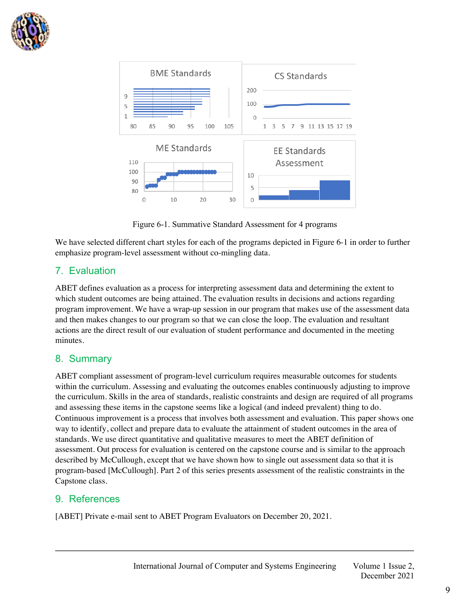



Figure 6-1. Summative Standard Assessment for 4 programs

We have selected different chart styles for each of the programs depicted in Figure 6-1 in order to further emphasize program-level assessment without co-mingling data.

# 7. Evaluation

ABET defines evaluation as a process for interpreting assessment data and determining the extent to which student outcomes are being attained. The evaluation results in decisions and actions regarding program improvement. We have a wrap-up session in our program that makes use of the assessment data and then makes changes to our program so that we can close the loop. The evaluation and resultant actions are the direct result of our evaluation of student performance and documented in the meeting minutes.

## 8. Summary

ABET compliant assessment of program-level curriculum requires measurable outcomes for students within the curriculum. Assessing and evaluating the outcomes enables continuously adjusting to improve the curriculum. Skills in the area of standards, realistic constraints and design are required of all programs and assessing these items in the capstone seems like a logical (and indeed prevalent) thing to do. Continuous improvement is a process that involves both assessment and evaluation. This paper shows one way to identify, collect and prepare data to evaluate the attainment of student outcomes in the area of standards. We use direct quantitative and qualitative measures to meet the ABET definition of assessment. Out process for evaluation is centered on the capstone course and is similar to the approach described by McCullough, except that we have shown how to single out assessment data so that it is program-based [McCullough]. Part 2 of this series presents assessment of the realistic constraints in the Capstone class.

## 9. References

[ABET] Private e-mail sent to ABET Program Evaluators on December 20, 2021.